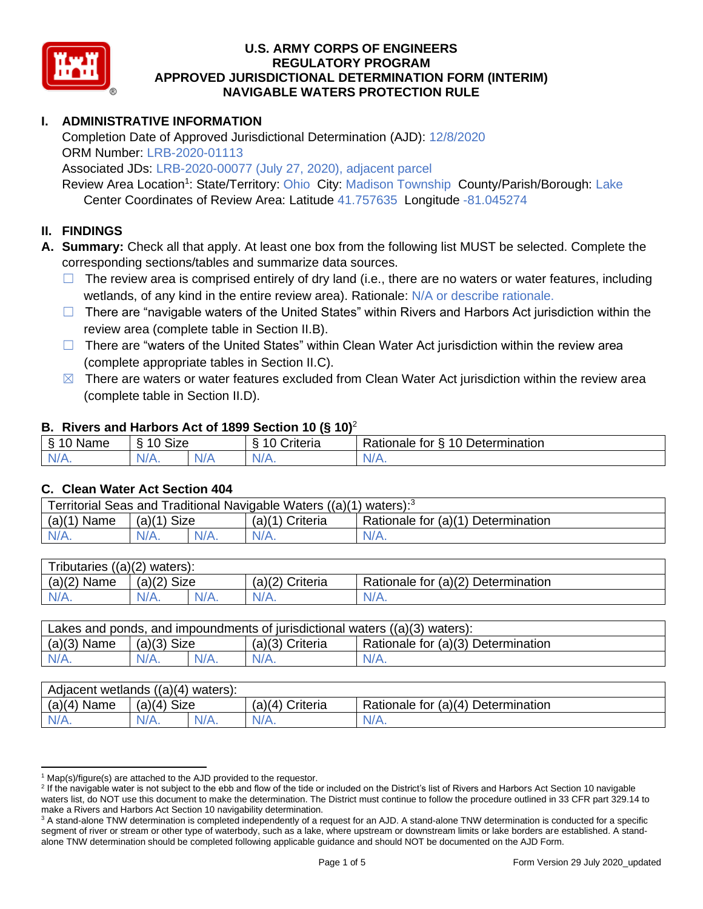

# **I. ADMINISTRATIVE INFORMATION**

Completion Date of Approved Jurisdictional Determination (AJD): 12/8/2020 ORM Number: LRB-2020-01113

Associated JDs: LRB-2020-00077 (July 27, 2020), adjacent parcel

Review Area Location<sup>1</sup>: State/Territory: Ohio City: Madison Township County/Parish/Borough: Lake Center Coordinates of Review Area: Latitude 41.757635 Longitude -81.045274

## **II. FINDINGS**

**A. Summary:** Check all that apply. At least one box from the following list MUST be selected. Complete the corresponding sections/tables and summarize data sources.

- $\Box$  The review area is comprised entirely of dry land (i.e., there are no waters or water features, including wetlands, of any kind in the entire review area). Rationale: N/A or describe rationale.
- $\Box$  There are "navigable waters of the United States" within Rivers and Harbors Act jurisdiction within the review area (complete table in Section II.B).
- ☐ There are "waters of the United States" within Clean Water Act jurisdiction within the review area (complete appropriate tables in Section II.C).
- $\boxtimes$  There are waters or water features excluded from Clean Water Act jurisdiction within the review area (complete table in Section II.D).

#### **B. Rivers and Harbors Act of 1899 Section 10 (§ 10)**<sup>2</sup>

| $\cdot$      |                                            |      |                            |                                      |  |  |  |  |
|--------------|--------------------------------------------|------|----------------------------|--------------------------------------|--|--|--|--|
| Name         | <b>Size</b><br>$\overline{A}$<br>C.<br>ιι. |      | . .<br>10<br>-<br>triteria | 10 Determination<br>tor<br>∺ationale |  |  |  |  |
| N/f<br>17 m. | N/A.                                       | NI / |                            | N/A.                                 |  |  |  |  |

#### **C. Clean Water Act Section 404**

| Territorial Seas and Traditional Navigable Waters $((a)(1)$ waters): <sup>3</sup> |                |         |                    |                                    |  |  |  |
|-----------------------------------------------------------------------------------|----------------|---------|--------------------|------------------------------------|--|--|--|
| (a)(1)<br>Name                                                                    | Size<br>(a)(1) |         | (a)(1)<br>Criteria | Rationale for (a)(1) Determination |  |  |  |
|                                                                                   | $N/A$ .        | $N/A$ . | $N/A$ .            | $N/A$ .                            |  |  |  |

| Tributaries<br>$((a)(2)$ waters): |                       |  |                    |                                    |  |  |  |
|-----------------------------------|-----------------------|--|--------------------|------------------------------------|--|--|--|
| (a)(2)<br>Name                    | <b>Size</b><br>(a)(2) |  | (a)(2)<br>Criteria | Rationale for (a)(2) Determination |  |  |  |
| $N/A$ .                           | $N/A$ .               |  | $N/A$ .            | N/A.                               |  |  |  |

| Lakes and ponds, and impoundments of jurisdictional waters $((a)(3)$ waters): |               |  |                   |                                    |  |  |
|-------------------------------------------------------------------------------|---------------|--|-------------------|------------------------------------|--|--|
| $(a)(3)$ Name                                                                 | $(a)(3)$ Size |  | $(a)(3)$ Criteria | Rationale for (a)(3) Determination |  |  |
| $N/A$ .                                                                       | $N/A$ .       |  | $N/A$ .           | $N/A$ .                            |  |  |

| Adjacent wetlands<br>((a)(4)<br>waters): |                       |         |                    |                                    |  |  |  |
|------------------------------------------|-----------------------|---------|--------------------|------------------------------------|--|--|--|
| (a)(4)<br>Name                           | <b>Size</b><br>(a)(4) |         | (a)(4)<br>Criteria | Rationale for (a)(4) Determination |  |  |  |
| $N/A$ .                                  | $N/A$ .               | $N/A$ . | $N/A$ .            | $N/A$ .                            |  |  |  |

 $1$  Map(s)/figure(s) are attached to the AJD provided to the requestor.

<sup>&</sup>lt;sup>2</sup> If the navigable water is not subject to the ebb and flow of the tide or included on the District's list of Rivers and Harbors Act Section 10 navigable waters list, do NOT use this document to make the determination. The District must continue to follow the procedure outlined in 33 CFR part 329.14 to make a Rivers and Harbors Act Section 10 navigability determination.

<sup>&</sup>lt;sup>3</sup> A stand-alone TNW determination is completed independently of a request for an AJD. A stand-alone TNW determination is conducted for a specific segment of river or stream or other type of waterbody, such as a lake, where upstream or downstream limits or lake borders are established. A standalone TNW determination should be completed following applicable guidance and should NOT be documented on the AJD Form.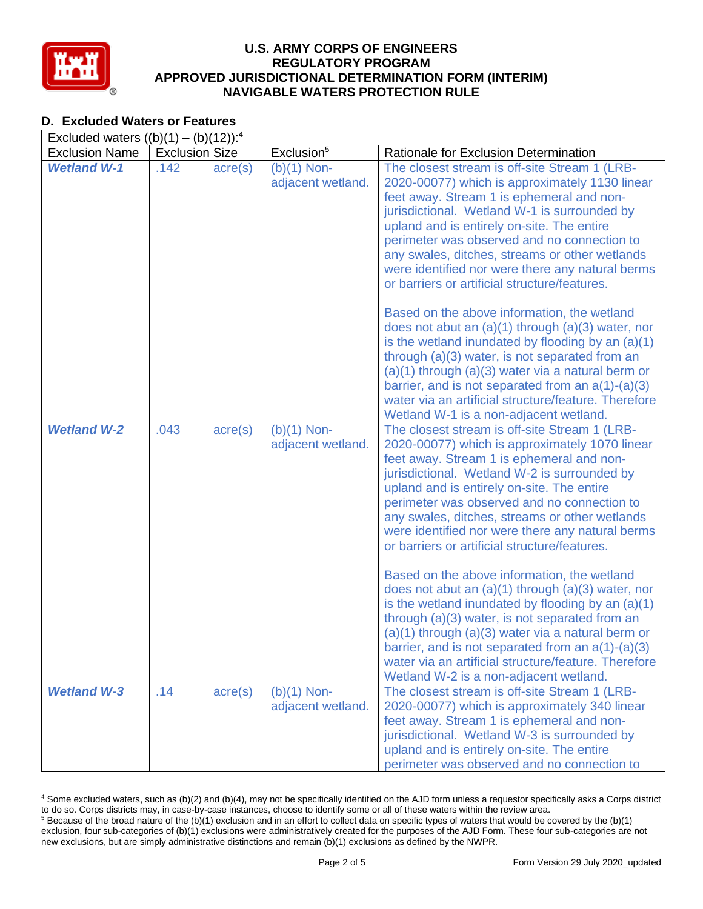

# **D. Excluded Waters or Features**

| Excluded waters $((b)(1) - (b)(12))$ : <sup>4</sup> |                       |                  |                                    |                                                                                                                                                                                                                                                                                                                                                                                                                                                  |  |  |  |  |
|-----------------------------------------------------|-----------------------|------------------|------------------------------------|--------------------------------------------------------------------------------------------------------------------------------------------------------------------------------------------------------------------------------------------------------------------------------------------------------------------------------------------------------------------------------------------------------------------------------------------------|--|--|--|--|
| <b>Exclusion Name</b>                               | <b>Exclusion Size</b> |                  | Exclusion <sup>5</sup>             | Rationale for Exclusion Determination                                                                                                                                                                                                                                                                                                                                                                                                            |  |  |  |  |
| <b>Wetland W-1</b>                                  | .142                  | $\text{acre}(s)$ | $(b)(1)$ Non-<br>adjacent wetland. | The closest stream is off-site Stream 1 (LRB-<br>2020-00077) which is approximately 1130 linear<br>feet away. Stream 1 is ephemeral and non-<br>jurisdictional. Wetland W-1 is surrounded by<br>upland and is entirely on-site. The entire<br>perimeter was observed and no connection to<br>any swales, ditches, streams or other wetlands<br>were identified nor were there any natural berms<br>or barriers or artificial structure/features. |  |  |  |  |
|                                                     |                       |                  |                                    | Based on the above information, the wetland<br>does not abut an $(a)(1)$ through $(a)(3)$ water, nor<br>is the wetland inundated by flooding by an $(a)(1)$<br>through (a)(3) water, is not separated from an<br>$(a)(1)$ through $(a)(3)$ water via a natural berm or<br>barrier, and is not separated from an $a(1)-(a)(3)$<br>water via an artificial structure/feature. Therefore<br>Wetland W-1 is a non-adjacent wetland.                  |  |  |  |  |
| <b>Wetland W-2</b>                                  | .043                  | $\text{acre}(s)$ | $(b)(1)$ Non-<br>adjacent wetland. | The closest stream is off-site Stream 1 (LRB-<br>2020-00077) which is approximately 1070 linear<br>feet away. Stream 1 is ephemeral and non-<br>jurisdictional. Wetland W-2 is surrounded by<br>upland and is entirely on-site. The entire<br>perimeter was observed and no connection to<br>any swales, ditches, streams or other wetlands<br>were identified nor were there any natural berms<br>or barriers or artificial structure/features. |  |  |  |  |
|                                                     |                       |                  |                                    | Based on the above information, the wetland<br>does not abut an $(a)(1)$ through $(a)(3)$ water, nor<br>is the wetland inundated by flooding by an $(a)(1)$<br>through (a)(3) water, is not separated from an<br>$(a)(1)$ through $(a)(3)$ water via a natural berm or<br>barrier, and is not separated from an $a(1)-(a)(3)$<br>water via an artificial structure/feature. Therefore<br>Wetland W-2 is a non-adjacent wetland.                  |  |  |  |  |
| <b>Wetland W-3</b>                                  | .14                   | $\text{acre}(s)$ | $(b)(1)$ Non-<br>adjacent wetland. | The closest stream is off-site Stream 1 (LRB-<br>2020-00077) which is approximately 340 linear<br>feet away. Stream 1 is ephemeral and non-<br>jurisdictional. Wetland W-3 is surrounded by<br>upland and is entirely on-site. The entire<br>perimeter was observed and no connection to                                                                                                                                                         |  |  |  |  |

<sup>4</sup> Some excluded waters, such as (b)(2) and (b)(4), may not be specifically identified on the AJD form unless a requestor specifically asks a Corps district to do so. Corps districts may, in case-by-case instances, choose to identify some or all of these waters within the review area.  $5$  Because of the broad nature of the (b)(1) exclusion and in an effort to collect data on specific types of waters that would be covered by the (b)(1)

exclusion, four sub-categories of (b)(1) exclusions were administratively created for the purposes of the AJD Form. These four sub-categories are not new exclusions, but are simply administrative distinctions and remain (b)(1) exclusions as defined by the NWPR.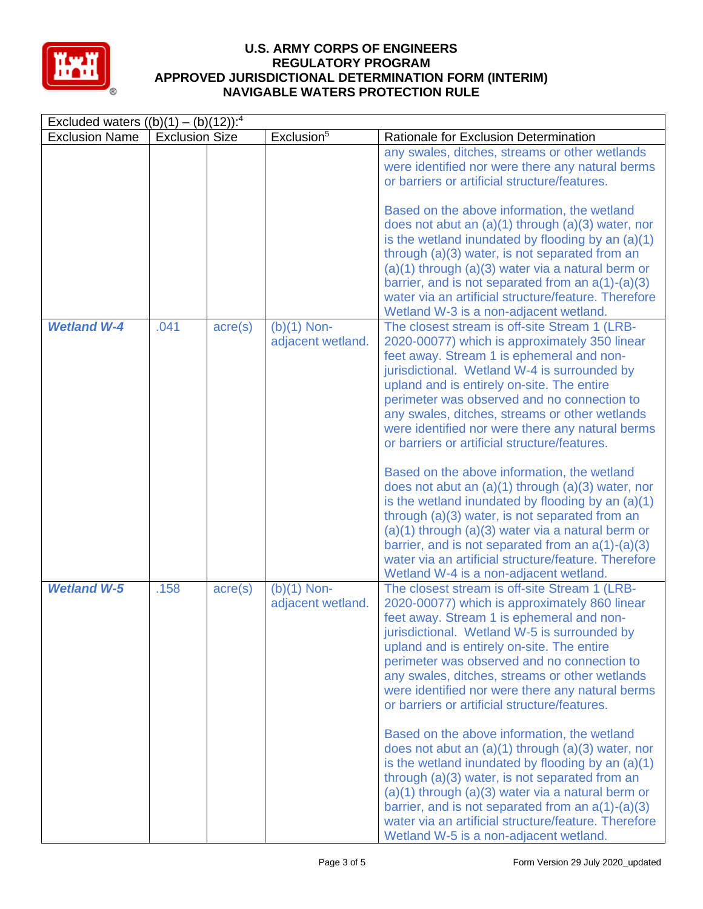

| Excluded waters $((b)(1) - (b)(12))$ : <sup>4</sup> |                       |                  |                                    |                                                                                                                                                                                                                                                                                                                                                                                                                                                                                                                                                                                                                                                                                                                                                                                                                                                                                    |  |  |  |
|-----------------------------------------------------|-----------------------|------------------|------------------------------------|------------------------------------------------------------------------------------------------------------------------------------------------------------------------------------------------------------------------------------------------------------------------------------------------------------------------------------------------------------------------------------------------------------------------------------------------------------------------------------------------------------------------------------------------------------------------------------------------------------------------------------------------------------------------------------------------------------------------------------------------------------------------------------------------------------------------------------------------------------------------------------|--|--|--|
| <b>Exclusion Name</b>                               | <b>Exclusion Size</b> |                  | Exclusion <sup>5</sup>             | Rationale for Exclusion Determination                                                                                                                                                                                                                                                                                                                                                                                                                                                                                                                                                                                                                                                                                                                                                                                                                                              |  |  |  |
|                                                     |                       |                  |                                    | any swales, ditches, streams or other wetlands<br>were identified nor were there any natural berms<br>or barriers or artificial structure/features.<br>Based on the above information, the wetland<br>does not abut an $(a)(1)$ through $(a)(3)$ water, nor<br>is the wetland inundated by flooding by an $(a)(1)$<br>through (a)(3) water, is not separated from an<br>$(a)(1)$ through $(a)(3)$ water via a natural berm or<br>barrier, and is not separated from an $a(1)-(a)(3)$<br>water via an artificial structure/feature. Therefore<br>Wetland W-3 is a non-adjacent wetland.                                                                                                                                                                                                                                                                                             |  |  |  |
| <b>Wetland W-4</b>                                  | .041                  | $\text{acre}(s)$ | $(b)(1)$ Non-<br>adjacent wetland. | The closest stream is off-site Stream 1 (LRB-<br>2020-00077) which is approximately 350 linear<br>feet away. Stream 1 is ephemeral and non-<br>jurisdictional. Wetland W-4 is surrounded by<br>upland and is entirely on-site. The entire<br>perimeter was observed and no connection to<br>any swales, ditches, streams or other wetlands<br>were identified nor were there any natural berms<br>or barriers or artificial structure/features.<br>Based on the above information, the wetland<br>does not abut an $(a)(1)$ through $(a)(3)$ water, nor<br>is the wetland inundated by flooding by an $(a)(1)$<br>through (a)(3) water, is not separated from an<br>$(a)(1)$ through $(a)(3)$ water via a natural berm or<br>barrier, and is not separated from an $a(1)-(a)(3)$<br>water via an artificial structure/feature. Therefore<br>Wetland W-4 is a non-adjacent wetland. |  |  |  |
| <b>Wetland W-5</b>                                  | .158                  | $\text{acre}(s)$ | $(b)(1)$ Non-<br>adjacent wetland. | The closest stream is off-site Stream 1 (LRB-<br>2020-00077) which is approximately 860 linear<br>feet away. Stream 1 is ephemeral and non-<br>jurisdictional. Wetland W-5 is surrounded by<br>upland and is entirely on-site. The entire<br>perimeter was observed and no connection to<br>any swales, ditches, streams or other wetlands<br>were identified nor were there any natural berms<br>or barriers or artificial structure/features.<br>Based on the above information, the wetland<br>does not abut an $(a)(1)$ through $(a)(3)$ water, nor<br>is the wetland inundated by flooding by an $(a)(1)$<br>through (a)(3) water, is not separated from an<br>$(a)(1)$ through $(a)(3)$ water via a natural berm or<br>barrier, and is not separated from an $a(1)-(a)(3)$<br>water via an artificial structure/feature. Therefore<br>Wetland W-5 is a non-adjacent wetland. |  |  |  |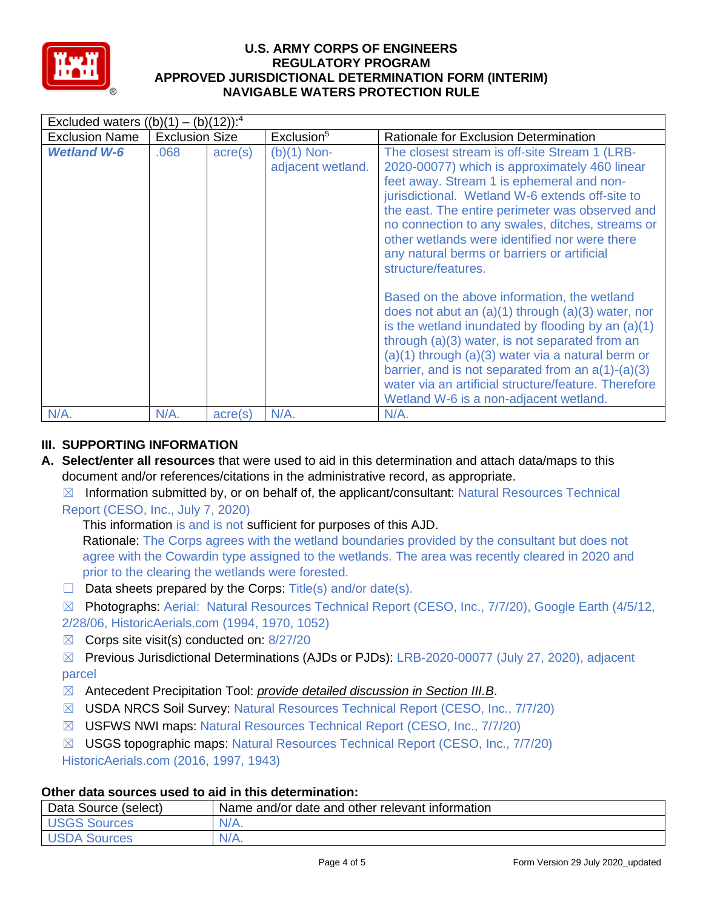

| Excluded waters $((b)(1) - (b)(12))$ : <sup>4</sup> |                       |                  |                                    |                                                                                                                                                                                                                                                                                                                                                                                                                                 |  |  |  |  |
|-----------------------------------------------------|-----------------------|------------------|------------------------------------|---------------------------------------------------------------------------------------------------------------------------------------------------------------------------------------------------------------------------------------------------------------------------------------------------------------------------------------------------------------------------------------------------------------------------------|--|--|--|--|
| <b>Exclusion Name</b>                               | <b>Exclusion Size</b> |                  | Exclusion <sup>5</sup>             | Rationale for Exclusion Determination                                                                                                                                                                                                                                                                                                                                                                                           |  |  |  |  |
| <b>Wetland W-6</b>                                  | .068                  | $\text{acre}(s)$ | $(b)(1)$ Non-<br>adjacent wetland. | The closest stream is off-site Stream 1 (LRB-<br>2020-00077) which is approximately 460 linear<br>feet away. Stream 1 is ephemeral and non-<br>jurisdictional. Wetland W-6 extends off-site to<br>the east. The entire perimeter was observed and<br>no connection to any swales, ditches, streams or<br>other wetlands were identified nor were there<br>any natural berms or barriers or artificial<br>structure/features.    |  |  |  |  |
|                                                     |                       |                  |                                    | Based on the above information, the wetland<br>does not abut an $(a)(1)$ through $(a)(3)$ water, nor<br>is the wetland inundated by flooding by an $(a)(1)$<br>through (a)(3) water, is not separated from an<br>$(a)(1)$ through $(a)(3)$ water via a natural berm or<br>barrier, and is not separated from an $a(1)-(a)(3)$<br>water via an artificial structure/feature. Therefore<br>Wetland W-6 is a non-adjacent wetland. |  |  |  |  |
| $N/A$ .                                             | N/A.                  | $\text{acre}(s)$ | $N/A$ .                            | $N/A$ .                                                                                                                                                                                                                                                                                                                                                                                                                         |  |  |  |  |

# **III. SUPPORTING INFORMATION**

**A. Select/enter all resources** that were used to aid in this determination and attach data/maps to this document and/or references/citations in the administrative record, as appropriate.

 $\boxtimes$  Information submitted by, or on behalf of, the applicant/consultant: Natural Resources Technical Report (CESO, Inc., July 7, 2020)

This information is and is not sufficient for purposes of this AJD.

Rationale: The Corps agrees with the wetland boundaries provided by the consultant but does not agree with the Cowardin type assigned to the wetlands. The area was recently cleared in 2020 and prior to the clearing the wetlands were forested.

- $\Box$  Data sheets prepared by the Corps: Title(s) and/or date(s).
- ☒ Photographs: Aerial: Natural Resources Technical Report (CESO, Inc., 7/7/20), Google Earth (4/5/12, 2/28/06, HistoricAerials.com (1994, 1970, 1052)
- $\boxtimes$  Corps site visit(s) conducted on: 8/27/20
- ☒ Previous Jurisdictional Determinations (AJDs or PJDs): LRB-2020-00077 (July 27, 2020), adjacent parcel
- ☒ Antecedent Precipitation Tool: *provide detailed discussion in Section III.B*.
- ☒ USDA NRCS Soil Survey: Natural Resources Technical Report (CESO, Inc., 7/7/20)
- ☒ USFWS NWI maps: Natural Resources Technical Report (CESO, Inc., 7/7/20)
- ☒ USGS topographic maps: Natural Resources Technical Report (CESO, Inc., 7/7/20) HistoricAerials.com (2016, 1997, 1943)

## **Other data sources used to aid in this determination:**

| Data Source (select) | Name and/or date and other relevant information |
|----------------------|-------------------------------------------------|
| USGS Sources         | $N/A$ .                                         |
| USDA Sources         | $N/A$ .                                         |